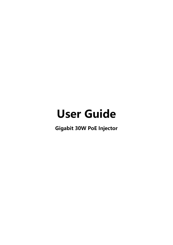# **User Guide**

**Gigabit 30W PoE Injector**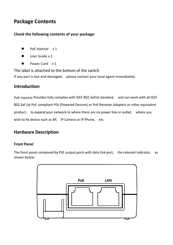# **Package Contents**

#### **Check the following contents of your package:**

- PoE Injector x 1
- User Guide x 1
- Power Cord x 1

The label is attached to the bottom of the switch

If any part is lost and damaged, please contact your local agent immediately.

# **Introduction**

PoE Injector Provides fully complies with IEEE 802.3af/at standard, and can work with all IEEE 802.3af /at PoE compliant PDs (Powered Devices) or PoE Receiver Adapters or other equivalent product, to expand your network to where there are no power line or outlet, where you wish to fix device such as AP. IP Camera or IP Phone, etc.

# **Hardware Description**

## **Front Panel**

The front panel composed by PSE output ports with data link port, the relevant indicator, as shown below:

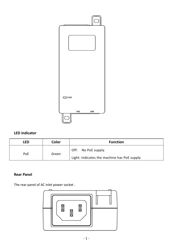

# **LED indicator**

| LED | Color | <b>Function</b>                             |
|-----|-------|---------------------------------------------|
| PoE | Green | Off: No PoE supply.                         |
|     |       | Light: Indicates the machine has PoE supply |

### **Rear Panel**

The rear panel of AC inlet power socket .

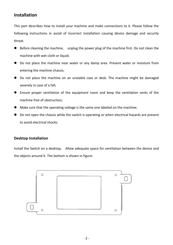# **Installation**

This part describes how to install your machine and make connections to it. Please follow the following instructions in avoid of incorrect installation causing device damage and security threat.

- Before cleaning the machine, unplug the power plug of the machine first. Do not clean the machine with wet cloth or liquid;
- Do not place the machine near water or any damp area. Prevent water or moisture from entering the machine chassis;
- Do not place the machine on an unstable case or desk. The machine might be damaged severely in case of a fall;
- Ensure proper ventilation of the equipment room and keep the ventilation vents of the machine free of obstruction;
- Make sure that the operating voltage is the same one labeled on the machine;
- Do not open the chassis while the switch is operating or when electrical hazards are present to avoid electrical shocks.

#### **Desktop Installation**

Install the Switch on a desktop, Allow adequate space for ventilation between the device and the objects around it. The bottom is shown in figure:

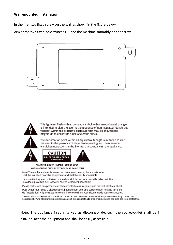#### **Wall-mounted installation**

In the first two fixed screw on the wall as shown in the figure below

Aim at the two fixed hole switches, and the machine smoothly on the screw



This lightning flash with arrowhead symbol within an equilateral triangle. is intended to alert the user to the presence of non-insulated "dangerous voltage" within the product's enclosure that may be of sufficient magnitude to constitute a risk of electric shock.



The exclamation point within an equilateral triangle is intended to alert the user to the presence of important operating and maintenance (servicing) instructions in the literature accompanying the appliance.



**WARNING: SHOCK HAZARD - DO NOT OPEN** AVIS: RISQUE DE CHOC ÉLECTRIQUE - NE PAS OUVRIR

Note: The appliance inlet is served as disconnect device, the socket-outlet shall be installed near the equipment and shall be easily accessible

La prise électrique est utilisée comme dispositif de déconnexion et la prise doit être installée à proximité de l'appareil et être facilement accessible.

Please make sure this product earthed correctly to ensure safety and prevent electrical shock.

Pour éviter tout risque d'électrocution. L'équipement doit être correctement mis à la terre lors de l'installation. N'ignorez pas le rôle du fil de terre sinon vous risqueriez de vous électrocuter.

The unit with Class I construction shall be connected to a mains socket-outlet with a protective earthing connection. Le dispositif d'une structure de premier niveau doit être connecté à la prise d'alimentation par mise à la terre protectrice.

Note: The appliance inlet is served as disconnect device, the socket-outlet shall be i nstalled near the equipment and shall be easily accessible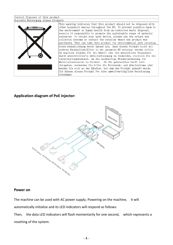#### Correct Disposal of this product Korrekte Entsorgung dieses Produkts This marking indicates that this product should not be disposed with other household wastes throughout the EU. To prevent possible harm to the environment or human health from un-controled waste disposal. recycle it responsibly to promote the sustainable reuse of material resources. To return your used device, please use the return and collecton systems or contact the retailer where the product was purchased. They can take this product for environmental safe recyding Diese Kennzeichnung weist darauf hin, dass dieses Produkt nicht mit anderen Haushaltsabfällen in der gesamten EU entsorgt werden sollte. Um mögliche Schäden für die Umwelt oder die menschliche Gesundheit durch unkontrollierte Abfallentsorgung zu vermeiden, recyceln Sie sie verantwortungsbewusst, um die nachhaltige Wiederverwendung von Materialressourcen zu fördern. Um Ihr gebrauchtes Gerät zurü ckzugeben, verwenden Sie bitte die Rücksende- und Abholsysteme oder wenden Sie sich an den Händler, bei dem das Produkt gekauft wurde. Sie können dieses Produkt für eine umweltverträgliche Recydierung einnehmen

#### **Application diagram of PoE injector:**



#### **Power on**

The machine can be used with AC power supply. Powering on the machine, it will automatically initialize and its LED indicators will respond as follows:

Then, the data LED indicators will flash momentarily for one second, which represents a resetting of the system.